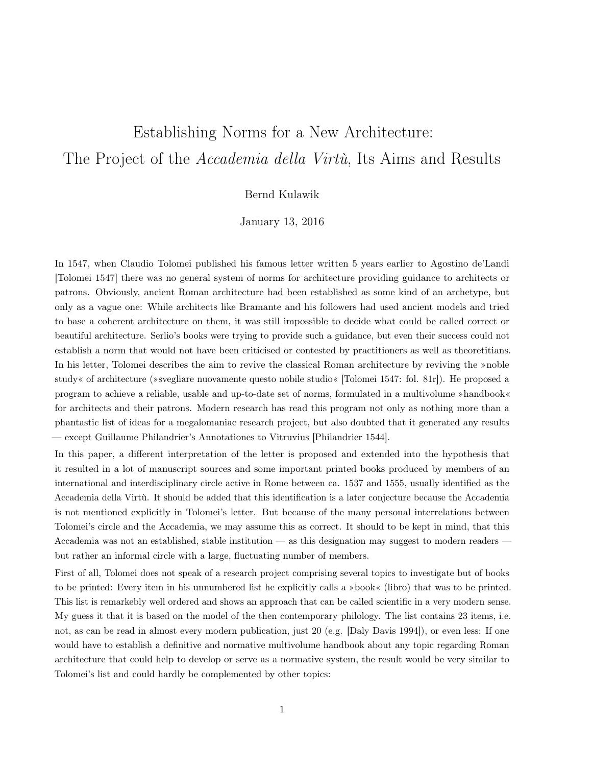## Establishing Norms for a New Architecture: The Project of the *Accademia della Virtù*, Its Aims and Results

## Bernd Kulawik

January 13, 2016

In 1547, when Claudio Tolomei published his famous letter written 5 years earlier to Agostino de'Landi [Tolomei 1547] there was no general system of norms for architecture providing guidance to architects or patrons. Obviously, ancient Roman architecture had been established as some kind of an archetype, but only as a vague one: While architects like Bramante and his followers had used ancient models and tried to base a coherent architecture on them, it was still impossible to decide what could be called correct or beautiful architecture. Serlio's books were trying to provide such a guidance, but even their success could not establish a norm that would not have been criticised or contested by practitioners as well as theoretitians. In his letter, Tolomei describes the aim to revive the classical Roman architecture by reviving the »noble study« of architecture (»svegliare nuovamente questo nobile studio« [Tolomei 1547: fol. 81r]). He proposed a program to achieve a reliable, usable and up-to-date set of norms, formulated in a multivolume »handbook« for architects and their patrons. Modern research has read this program not only as nothing more than a phantastic list of ideas for a megalomaniac research project, but also doubted that it generated any results — except Guillaume Philandrier's Annotationes to Vitruvius [Philandrier 1544].

In this paper, a different interpretation of the letter is proposed and extended into the hypothesis that it resulted in a lot of manuscript sources and some important printed books produced by members of an international and interdisciplinary circle active in Rome between ca. 1537 and 1555, usually identified as the Accademia della Virtù. It should be added that this identification is a later conjecture because the Accademia is not mentioned explicitly in Tolomei's letter. But because of the many personal interrelations between Tolomei's circle and the Accademia, we may assume this as correct. It should to be kept in mind, that this Accademia was not an established, stable institution — as this designation may suggest to modern readers but rather an informal circle with a large, fluctuating number of members.

First of all, Tolomei does not speak of a research project comprising several topics to investigate but of books to be printed: Every item in his unnumbered list he explicitly calls a »book« (libro) that was to be printed. This list is remarkebly well ordered and shows an approach that can be called scientific in a very modern sense. My guess it that it is based on the model of the then contemporary philology. The list contains 23 items, i.e. not, as can be read in almost every modern publication, just 20 (e.g. [Daly Davis 1994]), or even less: If one would have to establish a definitive and normative multivolume handbook about any topic regarding Roman architecture that could help to develop or serve as a normative system, the result would be very similar to Tolomei's list and could hardly be complemented by other topics: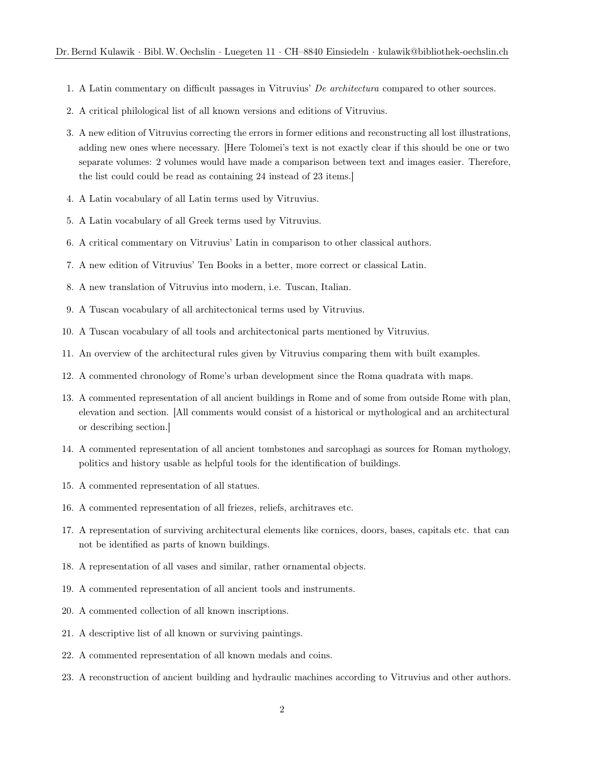- 1. A Latin commentary on difficult passages in Vitruvius' *De architectura* compared to other sources.
- 2. A critical philological list of all known versions and editions of Vitruvius.
- 3. A new edition of Vitruvius correcting the errors in former editions and reconstructing all lost illustrations, adding new ones where necessary. [Here Tolomei's text is not exactly clear if this should be one or two separate volumes: 2 volumes would have made a comparison between text and images easier. Therefore, the list could could be read as containing 24 instead of 23 items.]
- 4. A Latin vocabulary of all Latin terms used by Vitruvius.
- 5. A Latin vocabulary of all Greek terms used by Vitruvius.
- 6. A critical commentary on Vitruvius' Latin in comparison to other classical authors.
- 7. A new edition of Vitruvius' Ten Books in a better, more correct or classical Latin.
- 8. A new translation of Vitruvius into modern, i.e. Tuscan, Italian.
- 9. A Tuscan vocabulary of all architectonical terms used by Vitruvius.
- 10. A Tuscan vocabulary of all tools and architectonical parts mentioned by Vitruvius.
- 11. An overview of the architectural rules given by Vitruvius comparing them with built examples.
- 12. A commented chronology of Rome's urban development since the Roma quadrata with maps.
- 13. A commented representation of all ancient buildings in Rome and of some from outside Rome with plan, elevation and section. [All comments would consist of a historical or mythological and an architectural or describing section.]
- 14. A commented representation of all ancient tombstones and sarcophagi as sources for Roman mythology, politics and history usable as helpful tools for the identification of buildings.
- 15. A commented representation of all statues.
- 16. A commented representation of all friezes, reliefs, architraves etc.
- 17. A representation of surviving architectural elements like cornices, doors, bases, capitals etc. that can not be identified as parts of known buildings.
- 18. A representation of all vases and similar, rather ornamental objects.
- 19. A commented representation of all ancient tools and instruments.
- 20. A commented collection of all known inscriptions.
- 21. A descriptive list of all known or surviving paintings.
- 22. A commented representation of all known medals and coins.
- 23. A reconstruction of ancient building and hydraulic machines according to Vitruvius and other authors.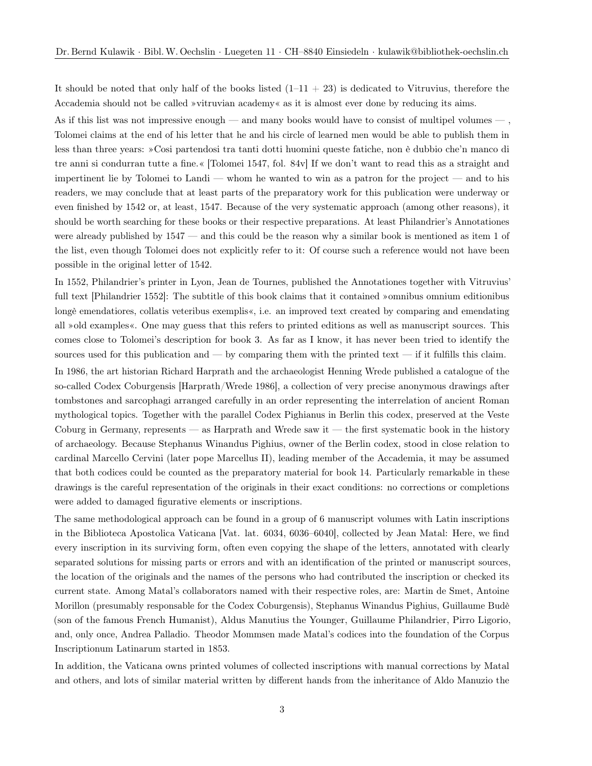It should be noted that only half of the books listed  $(1-11 + 23)$  is dedicated to Vitruvius, therefore the Accademia should not be called »vitruvian academy« as it is almost ever done by reducing its aims.

As if this list was not impressive enough — and many books would have to consist of multipel volumes — , Tolomei claims at the end of his letter that he and his circle of learned men would be able to publish them in less than three years: »Cosi partendosi tra tanti dotti huomini queste fatiche, non è dubbio che'n manco di tre anni si condurran tutte a fine.« [Tolomei 1547, fol. 84v] If we don't want to read this as a straight and impertinent lie by Tolomei to Landi — whom he wanted to win as a patron for the project — and to his readers, we may conclude that at least parts of the preparatory work for this publication were underway or even finished by 1542 or, at least, 1547. Because of the very systematic approach (among other reasons), it should be worth searching for these books or their respective preparations. At least Philandrier's Annotationes were already published by 1547 — and this could be the reason why a similar book is mentioned as item 1 of the list, even though Tolomei does not explicitly refer to it: Of course such a reference would not have been possible in the original letter of 1542.

In 1552, Philandrier's printer in Lyon, Jean de Tournes, published the Annotationes together with Vitruvius' full text [Philandrier 1552]: The subtitle of this book claims that it contained »omnibus omnium editionibus longè emendatiores, collatis veteribus exemplis«, i.e. an improved text created by comparing and emendating all »old examples«. One may guess that this refers to printed editions as well as manuscript sources. This comes close to Tolomei's description for book 3. As far as I know, it has never been tried to identify the sources used for this publication and — by comparing them with the printed text — if it fulfills this claim.

In 1986, the art historian Richard Harprath and the archaeologist Henning Wrede published a catalogue of the so-called Codex Coburgensis [Harprath/Wrede 1986], a collection of very precise anonymous drawings after tombstones and sarcophagi arranged carefully in an order representing the interrelation of ancient Roman mythological topics. Together with the parallel Codex Pighianus in Berlin this codex, preserved at the Veste Coburg in Germany, represents — as Harprath and Wrede saw it — the first systematic book in the history of archaeology. Because Stephanus Winandus Pighius, owner of the Berlin codex, stood in close relation to cardinal Marcello Cervini (later pope Marcellus II), leading member of the Accademia, it may be assumed that both codices could be counted as the preparatory material for book 14. Particularly remarkable in these drawings is the careful representation of the originals in their exact conditions: no corrections or completions were added to damaged figurative elements or inscriptions.

The same methodological approach can be found in a group of 6 manuscript volumes with Latin inscriptions in the Biblioteca Apostolica Vaticana [Vat. lat. 6034, 6036–6040], collected by Jean Matal: Here, we find every inscription in its surviving form, often even copying the shape of the letters, annotated with clearly separated solutions for missing parts or errors and with an identification of the printed or manuscript sources, the location of the originals and the names of the persons who had contributed the inscription or checked its current state. Among Matal's collaborators named with their respective roles, are: Martin de Smet, Antoine Morillon (presumably responsable for the Codex Coburgensis), Stephanus Winandus Pighius, Guillaume Budè (son of the famous French Humanist), Aldus Manutius the Younger, Guillaume Philandrier, Pirro Ligorio, and, only once, Andrea Palladio. Theodor Mommsen made Matal's codices into the foundation of the Corpus Inscriptionum Latinarum started in 1853.

In addition, the Vaticana owns printed volumes of collected inscriptions with manual corrections by Matal and others, and lots of similar material written by different hands from the inheritance of Aldo Manuzio the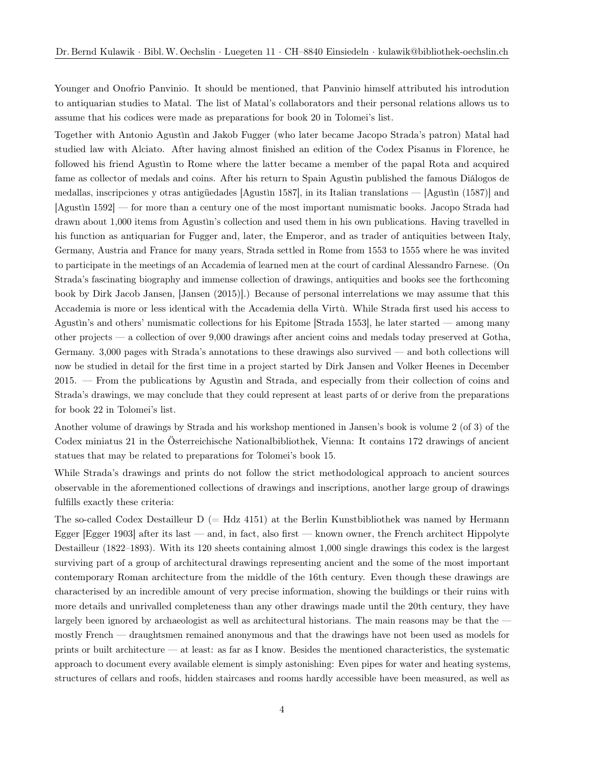Younger and Onofrio Panvinio. It should be mentioned, that Panvinio himself attributed his introdution to antiquarian studies to Matal. The list of Matal's collaborators and their personal relations allows us to assume that his codices were made as preparations for book 20 in Tolomei's list.

Together with Antonio Agustìn and Jakob Fugger (who later became Jacopo Strada's patron) Matal had studied law with Alciato. After having almost finished an edition of the Codex Pisanus in Florence, he followed his friend Agustìn to Rome where the latter became a member of the papal Rota and acquired fame as collector of medals and coins. After his return to Spain Agustìn published the famous Diálogos de medallas, inscripciones y otras antigüedades [Agustìn 1587], in its Italian translations — [Agustìn (1587)] and [Agustìn 1592] — for more than a century one of the most important numismatic books. Jacopo Strada had drawn about 1,000 items from Agustìn's collection and used them in his own publications. Having travelled in his function as antiquarian for Fugger and, later, the Emperor, and as trader of antiquities between Italy, Germany, Austria and France for many years, Strada settled in Rome from 1553 to 1555 where he was invited to participate in the meetings of an Accademia of learned men at the court of cardinal Alessandro Farnese. (On Strada's fascinating biography and immense collection of drawings, antiquities and books see the forthcoming book by Dirk Jacob Jansen, [Jansen (2015)].) Because of personal interrelations we may assume that this Accademia is more or less identical with the Accademia della Virtù. While Strada first used his access to Agustìn's and others' numismatic collections for his Epitome [Strada 1553], he later started — among many other projects — a collection of over 9,000 drawings after ancient coins and medals today preserved at Gotha, Germany. 3,000 pages with Strada's annotations to these drawings also survived — and both collections will now be studied in detail for the first time in a project started by Dirk Jansen and Volker Heenes in December 2015. — From the publications by Agustìn and Strada, and especially from their collection of coins and Strada's drawings, we may conclude that they could represent at least parts of or derive from the preparations for book 22 in Tolomei's list.

Another volume of drawings by Strada and his workshop mentioned in Jansen's book is volume 2 (of 3) of the Codex miniatus 21 in the Österreichische Nationalbibliothek, Vienna: It contains 172 drawings of ancient statues that may be related to preparations for Tolomei's book 15.

While Strada's drawings and prints do not follow the strict methodological approach to ancient sources observable in the aforementioned collections of drawings and inscriptions, another large group of drawings fulfills exactly these criteria:

The so-called Codex Destailleur  $D = Hdz$  4151) at the Berlin Kunstbibliothek was named by Hermann Egger [Egger 1903] after its last — and, in fact, also first — known owner, the French architect Hippolyte Destailleur (1822–1893). With its 120 sheets containing almost 1,000 single drawings this codex is the largest surviving part of a group of architectural drawings representing ancient and the some of the most important contemporary Roman architecture from the middle of the 16th century. Even though these drawings are characterised by an incredible amount of very precise information, showing the buildings or their ruins with more details and unrivalled completeness than any other drawings made until the 20th century, they have largely been ignored by archaeologist as well as architectural historians. The main reasons may be that the mostly French — draughtsmen remained anonymous and that the drawings have not been used as models for prints or built architecture — at least: as far as I know. Besides the mentioned characteristics, the systematic approach to document every available element is simply astonishing: Even pipes for water and heating systems, structures of cellars and roofs, hidden staircases and rooms hardly accessible have been measured, as well as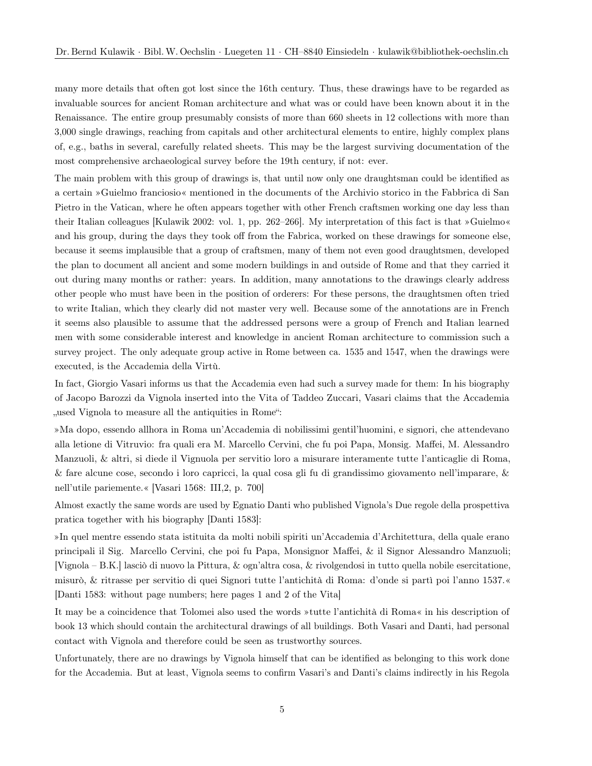many more details that often got lost since the 16th century. Thus, these drawings have to be regarded as invaluable sources for ancient Roman architecture and what was or could have been known about it in the Renaissance. The entire group presumably consists of more than 660 sheets in 12 collections with more than 3,000 single drawings, reaching from capitals and other architectural elements to entire, highly complex plans of, e.g., baths in several, carefully related sheets. This may be the largest surviving documentation of the most comprehensive archaeological survey before the 19th century, if not: ever.

The main problem with this group of drawings is, that until now only one draughtsman could be identified as a certain »Guielmo franciosio« mentioned in the documents of the Archivio storico in the Fabbrica di San Pietro in the Vatican, where he often appears together with other French craftsmen working one day less than their Italian colleagues [Kulawik 2002: vol. 1, pp. 262–266]. My interpretation of this fact is that »Guielmo« and his group, during the days they took off from the Fabrica, worked on these drawings for someone else, because it seems implausible that a group of craftsmen, many of them not even good draughtsmen, developed the plan to document all ancient and some modern buildings in and outside of Rome and that they carried it out during many months or rather: years. In addition, many annotations to the drawings clearly address other people who must have been in the position of orderers: For these persons, the draughtsmen often tried to write Italian, which they clearly did not master very well. Because some of the annotations are in French it seems also plausible to assume that the addressed persons were a group of French and Italian learned men with some considerable interest and knowledge in ancient Roman architecture to commission such a survey project. The only adequate group active in Rome between ca. 1535 and 1547, when the drawings were executed, is the Accademia della Virtù.

In fact, Giorgio Vasari informs us that the Accademia even had such a survey made for them: In his biography of Jacopo Barozzi da Vignola inserted into the Vita of Taddeo Zuccari, Vasari claims that the Accademia ", used Vignola to measure all the antiquities in Rome":

»Ma dopo, essendo allhora in Roma un'Accademia di nobilissimi gentil'huomini, e signori, che attendevano alla letione di Vitruvio: fra quali era M. Marcello Cervini, che fu poi Papa, Monsig. Maffei, M. Alessandro Manzuoli, & altri, si diede il Vignuola per servitio loro a misurare interamente tutte l'anticaglie di Roma, & fare alcune cose, secondo i loro capricci, la qual cosa gli fu di grandissimo giovamento nell'imparare, & nell'utile pariemente.« [Vasari 1568: III,2, p. 700]

Almost exactly the same words are used by Egnatio Danti who published Vignola's Due regole della prospettiva pratica together with his biography [Danti 1583]:

»In quel mentre essendo stata istituita da molti nobili spiriti un'Accademia d'Architettura, della quale erano principali il Sig. Marcello Cervini, che poi fu Papa, Monsignor Maffei, & il Signor Alessandro Manzuoli; [Vignola – B.K.] lasciò di nuovo la Pittura, & ogn'altra cosa, & rivolgendosi in tutto quella nobile esercitatione, misurò, & ritrasse per servitio di quei Signori tutte l'antichità di Roma: d'onde si partì poi l'anno 1537.« [Danti 1583: without page numbers; here pages 1 and 2 of the Vita]

It may be a coincidence that Tolomei also used the words »tutte l'antichità di Roma« in his description of book 13 which should contain the architectural drawings of all buildings. Both Vasari and Danti, had personal contact with Vignola and therefore could be seen as trustworthy sources.

Unfortunately, there are no drawings by Vignola himself that can be identified as belonging to this work done for the Accademia. But at least, Vignola seems to confirm Vasari's and Danti's claims indirectly in his Regola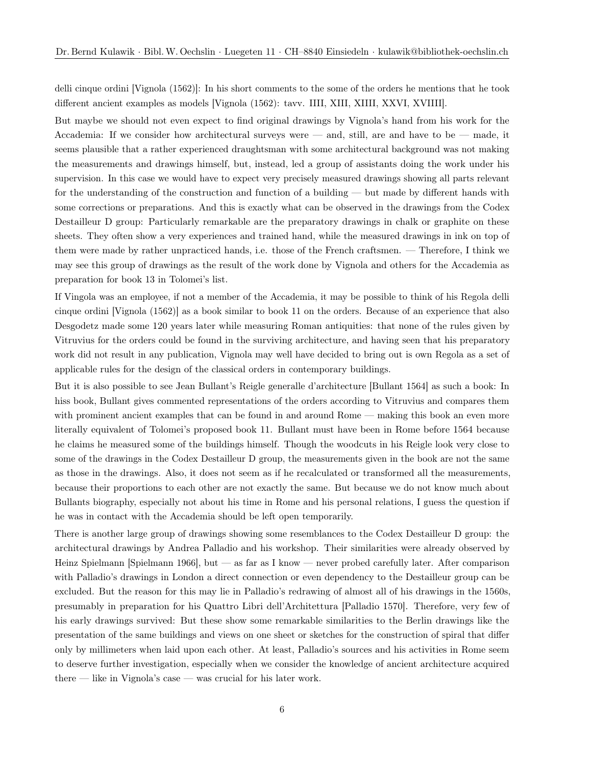delli cinque ordini [Vignola (1562)]: In his short comments to the some of the orders he mentions that he took different ancient examples as models [Vignola (1562): tavv. IIII, XIII, XIIII, XXVI, XVIIII].

But maybe we should not even expect to find original drawings by Vignola's hand from his work for the Accademia: If we consider how architectural surveys were — and, still, are and have to be — made, it seems plausible that a rather experienced draughtsman with some architectural background was not making the measurements and drawings himself, but, instead, led a group of assistants doing the work under his supervision. In this case we would have to expect very precisely measured drawings showing all parts relevant for the understanding of the construction and function of a building — but made by different hands with some corrections or preparations. And this is exactly what can be observed in the drawings from the Codex Destailleur D group: Particularly remarkable are the preparatory drawings in chalk or graphite on these sheets. They often show a very experiences and trained hand, while the measured drawings in ink on top of them were made by rather unpracticed hands, i.e. those of the French craftsmen. — Therefore, I think we may see this group of drawings as the result of the work done by Vignola and others for the Accademia as preparation for book 13 in Tolomei's list.

If Vingola was an employee, if not a member of the Accademia, it may be possible to think of his Regola delli cinque ordini [Vignola (1562)] as a book similar to book 11 on the orders. Because of an experience that also Desgodetz made some 120 years later while measuring Roman antiquities: that none of the rules given by Vitruvius for the orders could be found in the surviving architecture, and having seen that his preparatory work did not result in any publication, Vignola may well have decided to bring out is own Regola as a set of applicable rules for the design of the classical orders in contemporary buildings.

But it is also possible to see Jean Bullant's Reigle generalle d'architecture [Bullant 1564] as such a book: In hiss book, Bullant gives commented representations of the orders according to Vitruvius and compares them with prominent ancient examples that can be found in and around Rome — making this book an even more literally equivalent of Tolomei's proposed book 11. Bullant must have been in Rome before 1564 because he claims he measured some of the buildings himself. Though the woodcuts in his Reigle look very close to some of the drawings in the Codex Destailleur D group, the measurements given in the book are not the same as those in the drawings. Also, it does not seem as if he recalculated or transformed all the measurements, because their proportions to each other are not exactly the same. But because we do not know much about Bullants biography, especially not about his time in Rome and his personal relations, I guess the question if he was in contact with the Accademia should be left open temporarily.

There is another large group of drawings showing some resemblances to the Codex Destailleur D group: the architectural drawings by Andrea Palladio and his workshop. Their similarities were already observed by Heinz Spielmann [Spielmann 1966], but — as far as I know — never probed carefully later. After comparison with Palladio's drawings in London a direct connection or even dependency to the Destailleur group can be excluded. But the reason for this may lie in Palladio's redrawing of almost all of his drawings in the 1560s, presumably in preparation for his Quattro Libri dell'Architettura [Palladio 1570]. Therefore, very few of his early drawings survived: But these show some remarkable similarities to the Berlin drawings like the presentation of the same buildings and views on one sheet or sketches for the construction of spiral that differ only by millimeters when laid upon each other. At least, Palladio's sources and his activities in Rome seem to deserve further investigation, especially when we consider the knowledge of ancient architecture acquired there — like in Vignola's case — was crucial for his later work.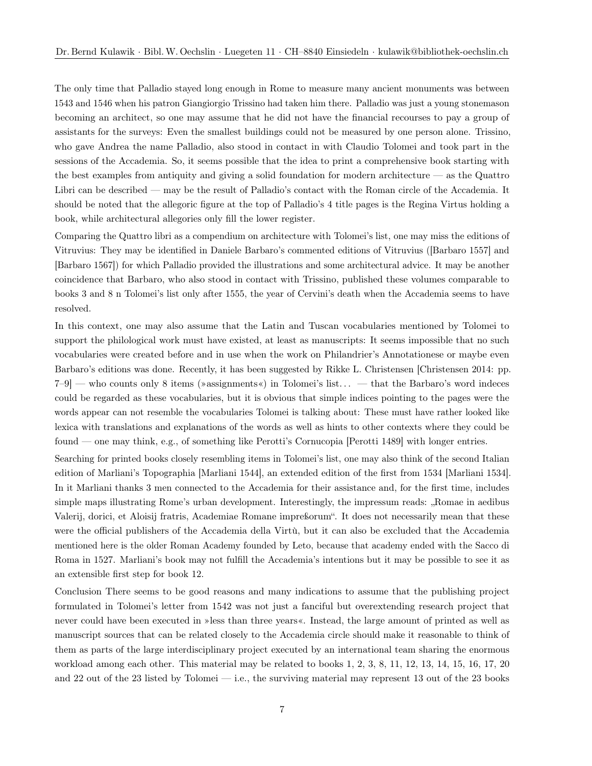The only time that Palladio stayed long enough in Rome to measure many ancient monuments was between 1543 and 1546 when his patron Giangiorgio Trissino had taken him there. Palladio was just a young stonemason becoming an architect, so one may assume that he did not have the financial recourses to pay a group of assistants for the surveys: Even the smallest buildings could not be measured by one person alone. Trissino, who gave Andrea the name Palladio, also stood in contact in with Claudio Tolomei and took part in the sessions of the Accademia. So, it seems possible that the idea to print a comprehensive book starting with the best examples from antiquity and giving a solid foundation for modern architecture — as the Quattro Libri can be described — may be the result of Palladio's contact with the Roman circle of the Accademia. It should be noted that the allegoric figure at the top of Palladio's 4 title pages is the Regina Virtus holding a book, while architectural allegories only fill the lower register.

Comparing the Quattro libri as a compendium on architecture with Tolomei's list, one may miss the editions of Vitruvius: They may be identified in Daniele Barbaro's commented editions of Vitruvius ([Barbaro 1557] and [Barbaro 1567]) for which Palladio provided the illustrations and some architectural advice. It may be another coincidence that Barbaro, who also stood in contact with Trissino, published these volumes comparable to books 3 and 8 n Tolomei's list only after 1555, the year of Cervini's death when the Accademia seems to have resolved.

In this context, one may also assume that the Latin and Tuscan vocabularies mentioned by Tolomei to support the philological work must have existed, at least as manuscripts: It seems impossible that no such vocabularies were created before and in use when the work on Philandrier's Annotationese or maybe even Barbaro's editions was done. Recently, it has been suggested by Rikke L. Christensen [Christensen 2014: pp. 7–9] — who counts only 8 items (»assignments«) in Tolomei's list. . . — that the Barbaro's word indeces could be regarded as these vocabularies, but it is obvious that simple indices pointing to the pages were the words appear can not resemble the vocabularies Tolomei is talking about: These must have rather looked like lexica with translations and explanations of the words as well as hints to other contexts where they could be found — one may think, e.g., of something like Perotti's Cornucopia [Perotti 1489] with longer entries.

Searching for printed books closely resembling items in Tolomei's list, one may also think of the second Italian edition of Marliani's Topographia [Marliani 1544], an extended edition of the first from 1534 [Marliani 1534]. In it Marliani thanks 3 men connected to the Accademia for their assistance and, for the first time, includes simple maps illustrating Rome's urban development. Interestingly, the impressum reads: "Romae in aedibus" Valerij, dorici, et Aloisij fratris, Academiae Romane impreßorum". It does not necessarily mean that these were the official publishers of the Accademia della Virtù, but it can also be excluded that the Accademia mentioned here is the older Roman Academy founded by Leto, because that academy ended with the Sacco di Roma in 1527. Marliani's book may not fulfill the Accademia's intentions but it may be possible to see it as an extensible first step for book 12.

Conclusion There seems to be good reasons and many indications to assume that the publishing project formulated in Tolomei's letter from 1542 was not just a fanciful but overextending research project that never could have been executed in »less than three years«. Instead, the large amount of printed as well as manuscript sources that can be related closely to the Accademia circle should make it reasonable to think of them as parts of the large interdisciplinary project executed by an international team sharing the enormous workload among each other. This material may be related to books 1, 2, 3, 8, 11, 12, 13, 14, 15, 16, 17, 20 and 22 out of the 23 listed by Tolomei — i.e., the surviving material may represent 13 out of the 23 books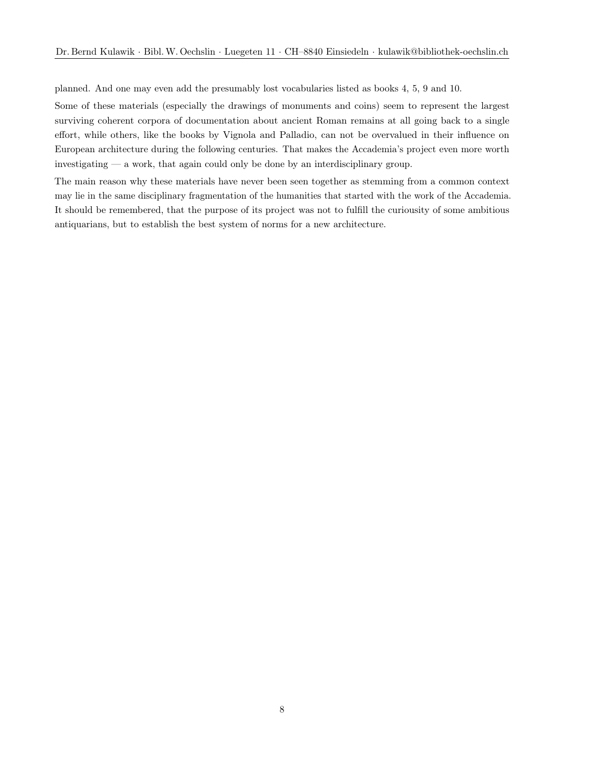planned. And one may even add the presumably lost vocabularies listed as books 4, 5, 9 and 10.

Some of these materials (especially the drawings of monuments and coins) seem to represent the largest surviving coherent corpora of documentation about ancient Roman remains at all going back to a single effort, while others, like the books by Vignola and Palladio, can not be overvalued in their influence on European architecture during the following centuries. That makes the Accademia's project even more worth investigating — a work, that again could only be done by an interdisciplinary group.

The main reason why these materials have never been seen together as stemming from a common context may lie in the same disciplinary fragmentation of the humanities that started with the work of the Accademia. It should be remembered, that the purpose of its project was not to fulfill the curiousity of some ambitious antiquarians, but to establish the best system of norms for a new architecture.